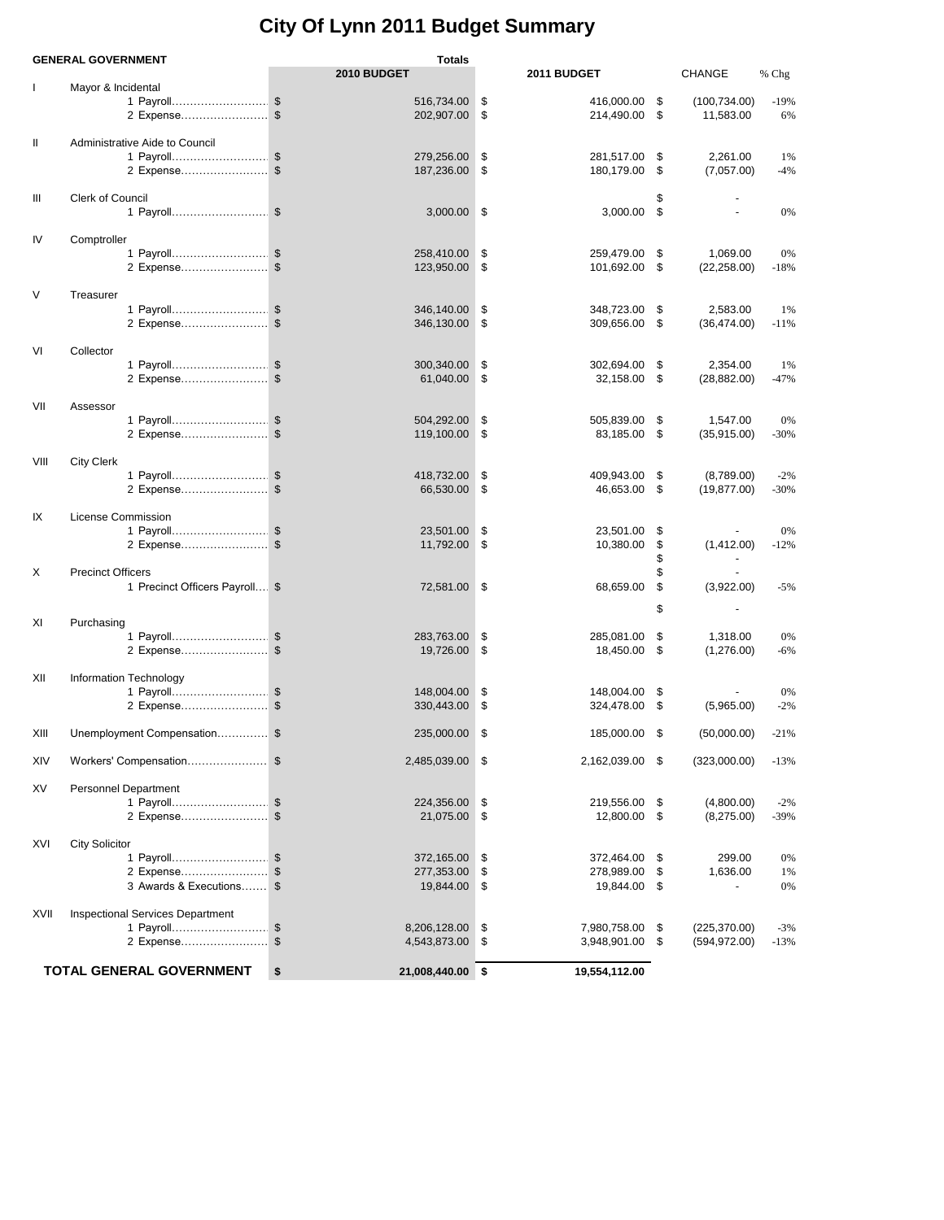## **City Of Lynn 2011 Budget Summary**

|      | <b>GENERAL GOVERNMENT</b>               | Totals                       |                     |              |     |               |        |
|------|-----------------------------------------|------------------------------|---------------------|--------------|-----|---------------|--------|
|      |                                         | 2010 BUDGET                  | 2011 BUDGET         |              |     | <b>CHANGE</b> | % Chg  |
| L    | Mayor & Incidental                      |                              |                     |              |     |               |        |
|      | 1 Payroll\$                             | 516,734.00                   | \$<br>416,000.00    |              | \$  | (100, 734.00) | $-19%$ |
|      | 2 Expense\$                             | 202,907.00                   | \$<br>214,490.00    |              | \$  | 11,583.00     | 6%     |
|      |                                         |                              |                     |              |     |               |        |
| Ш    | Administrative Aide to Council          |                              |                     |              |     |               |        |
|      | 1 Payroll\$                             | 279,256.00                   | \$<br>281,517.00    |              | \$  | 2,261.00      | 1%     |
|      | 2 Expense\$                             | 187,236.00                   | \$<br>180,179.00    |              | \$  | (7,057.00)    | $-4%$  |
|      |                                         |                              |                     |              |     |               |        |
| Ш    | <b>Clerk of Council</b>                 |                              |                     |              |     |               |        |
|      | 1 Payroll \$                            | 3,000.00                     | \$                  | 3,000.00 \$  |     |               | 0%     |
|      |                                         |                              |                     |              |     |               |        |
|      |                                         |                              |                     |              |     |               |        |
| IV   | Comptroller                             |                              |                     |              |     |               |        |
|      | 1 Payroll\$                             | 258,410.00                   | \$<br>259,479.00    |              | \$  | 1,069.00      | 0%     |
|      | 2 Expense\$                             | 123,950.00                   | \$<br>101,692.00    |              | \$  | (22, 258.00)  | $-18%$ |
|      |                                         |                              |                     |              |     |               |        |
| V    | Treasurer                               |                              |                     |              |     |               |        |
|      | 1 Payroll\$                             | 346,140.00                   | \$<br>348,723.00    |              | \$  | 2,583.00      | 1%     |
|      | 2 Expense\$                             | 346,130.00                   | \$<br>309,656.00    |              | -\$ | (36, 474.00)  | $-11%$ |
|      |                                         |                              |                     |              |     |               |        |
| VI   | Collector                               |                              |                     |              |     |               |        |
|      | 1 Payroll\$                             | 300,340.00                   | \$<br>302,694.00    |              | \$  | 2,354.00      | 1%     |
|      | 2 Expense\$                             | 61,040.00                    | \$                  | 32,158.00 \$ |     | (28, 882.00)  | $-47%$ |
|      |                                         |                              |                     |              |     |               |        |
| VII  | Assessor                                |                              |                     |              |     |               |        |
|      |                                         |                              |                     |              |     |               |        |
|      | 1 Payroll\$                             | 504,292.00                   | \$<br>505,839.00    |              | \$  | 1,547.00      | 0%     |
|      | 2 Expense\$                             | 119,100.00                   | \$                  | 83,185.00 \$ |     | (35, 915.00)  | $-30%$ |
|      |                                         |                              |                     |              |     |               |        |
| VIII | <b>City Clerk</b>                       |                              |                     |              |     |               |        |
|      | 1 Payroll\$                             | 418,732.00                   | \$<br>409,943.00    |              | \$  | (8,789.00)    | $-2%$  |
|      | 2 Expense\$                             | 66,530.00                    | \$                  | 46,653.00 \$ |     | (19, 877.00)  | $-30%$ |
|      |                                         |                              |                     |              |     |               |        |
| IX   | License Commission                      |                              |                     |              |     |               |        |
|      | 1 Payroll\$                             | 23,501.00                    | \$<br>23,501.00     |              | \$  |               | 0%     |
|      |                                         | 11,792.00                    | \$<br>10,380.00     |              | \$  | (1,412.00)    | $-12%$ |
|      |                                         |                              |                     |              | \$  |               |        |
| X    | <b>Precinct Officers</b>                |                              |                     |              | \$  |               |        |
|      | 1 Precinct Officers Payroll \$          | 72,581.00 \$                 | 68,659.00           |              | \$  | (3,922.00)    | $-5%$  |
|      |                                         |                              |                     |              |     |               |        |
|      |                                         |                              |                     |              | \$  |               |        |
| ΧI   | Purchasing                              |                              |                     |              |     |               |        |
|      | 1 Payroll\$                             | 283,763.00                   | \$<br>285,081.00    |              | \$  | 1,318.00      | 0%     |
|      | 2 Expense                               | \$<br>19,726.00              | \$<br>18,450.00     |              | \$  | (1,276.00)    | $-6%$  |
|      |                                         |                              |                     |              |     |               |        |
| XII  | Information Technology                  |                              |                     |              |     |               |        |
|      | 1 Payroll\$                             | 148,004.00                   | \$<br>148,004.00    |              | \$  |               | 0%     |
|      |                                         | \$<br>330,443.00             | \$<br>324,478.00    |              | \$  |               | $-2%$  |
|      | 2 Expense                               |                              |                     |              |     | (5,965.00)    |        |
|      |                                         |                              |                     |              |     |               |        |
| XIII | Unemployment Compensation\$             | 235,000.00                   | \$<br>185,000.00    |              | -\$ | (50,000.00)   | $-21%$ |
|      |                                         |                              |                     |              |     |               |        |
| XIV  | Workers' Compensation\$                 | 2,485,039.00                 | \$<br>2,162,039.00  |              | \$  | (323,000.00)  | $-13%$ |
|      |                                         |                              |                     |              |     |               |        |
| XV   | Personnel Department                    |                              |                     |              |     |               |        |
|      | 1 Payroll\$                             | 224,356.00                   | \$<br>219,556.00    |              | \$  | (4,800.00)    | $-2%$  |
|      | 2 Expense                               | \$<br>21,075.00              | \$<br>12,800.00     |              | \$  | (8,275.00)    | -39%   |
|      |                                         |                              |                     |              |     |               |        |
| XVI  | <b>City Solicitor</b>                   |                              |                     |              |     |               |        |
|      | 1 Payroll\$                             | 372,165.00                   | \$<br>372,464.00    |              | \$  | 299.00        | 0%     |
|      | 2 Expense                               | $\mathfrak{F}$<br>277,353.00 | \$<br>278,989.00    |              | \$  | 1,636.00      | 1%     |
|      | 3 Awards & Executions \$                | 19,844.00                    | \$<br>19,844.00     |              | \$  |               | 0%     |
|      |                                         |                              |                     |              |     |               |        |
|      |                                         |                              |                     |              |     |               |        |
| XVII | <b>Inspectional Services Department</b> |                              |                     |              |     |               |        |
|      | 1 Payroll\$                             | 8,206,128.00                 | \$<br>7,980,758.00  |              | \$  | (225, 370.00) | $-3%$  |
|      | 2 Expense\$                             | 4,543,873.00                 | \$<br>3,948,901.00  |              | \$  | (594, 972.00) | $-13%$ |
|      |                                         |                              |                     |              |     |               |        |
|      | <b>TOTAL GENERAL GOVERNMENT</b>         | \$<br>21,008,440.00          | \$<br>19,554,112.00 |              |     |               |        |
|      |                                         |                              |                     |              |     |               |        |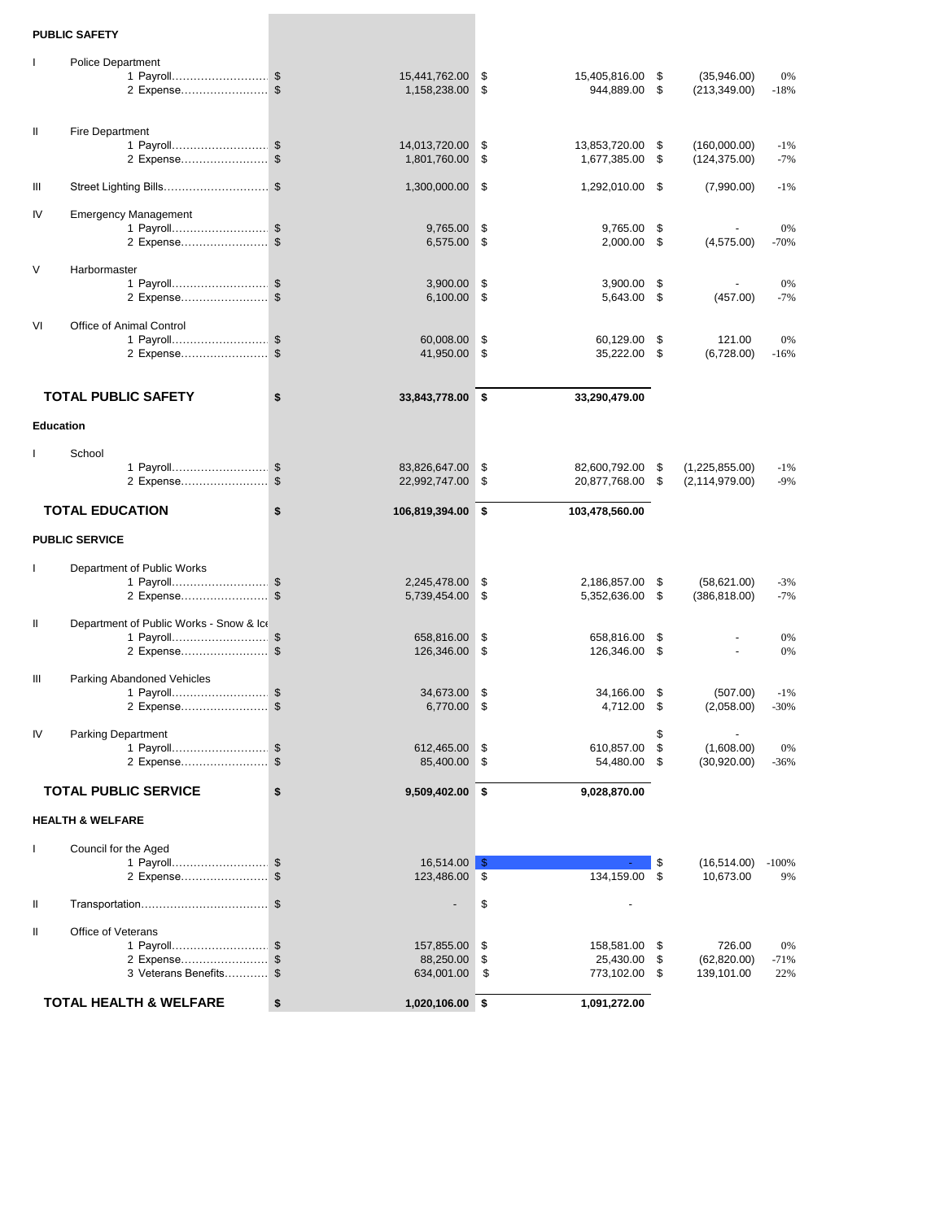## **PUBLIC SAFETY**

| $\mathbf{I}$     | <b>Police Department</b>                  |                                      |          |                                |            |                                    |                  |
|------------------|-------------------------------------------|--------------------------------------|----------|--------------------------------|------------|------------------------------------|------------------|
|                  | 1 Payroll\$                               | 15,441,762.00                        | \$       | 15,405,816.00                  | \$         | (35,946.00)                        | 0%               |
|                  | 2 Expense\$                               | 1,158,238.00                         | \$       | 944,889.00                     | \$         | (213, 349.00)                      | $-18%$           |
|                  |                                           |                                      |          |                                |            |                                    |                  |
| Ш                | Fire Department                           |                                      |          |                                |            |                                    |                  |
|                  | 1 Payroll\$                               | 14,013,720.00                        | \$       | 13,853,720.00                  | \$         | (160,000.00)                       | $-1%$            |
|                  | 2 Expense\$                               | 1,801,760.00                         | \$       | 1,677,385.00                   | \$         | (124, 375.00)                      | $-7%$            |
| Ш                | Street Lighting Bills\$                   | 1,300,000.00                         | \$       | 1,292,010.00 \$                |            | (7,990.00)                         | $-1%$            |
| IV               | <b>Emergency Management</b>               |                                      |          |                                |            |                                    |                  |
|                  | 1 Payroll\$                               | 9,765.00                             | \$       | 9,765.00                       | \$         |                                    | 0%               |
|                  | 2 Expense\$                               | 6,575.00                             | \$       | $2,000.00$ \$                  |            | (4,575.00)                         | $-70%$           |
| V                | Harbormaster                              |                                      |          |                                |            |                                    |                  |
|                  | 1 Payroll\$                               | 3,900.00                             | \$       | 3,900.00                       | \$         |                                    | 0%               |
|                  | 2 Expense\$                               | 6,100.00                             | \$       | 5,643.00 \$                    |            | (457.00)                           | $-7%$            |
| VI               | Office of Animal Control                  |                                      |          |                                |            |                                    |                  |
|                  | 1 Payroll\$                               | 60,008.00                            | \$       | 60,129.00                      | \$         | 121.00                             | 0%               |
|                  | 2 Expense\$                               | 41,950.00                            | \$       | 35,222.00 \$                   |            | (6,728.00)                         | $-16%$           |
|                  |                                           |                                      |          |                                |            |                                    |                  |
|                  | <b>TOTAL PUBLIC SAFETY</b>                | \$<br>33,843,778.00 \$               |          | 33,290,479.00                  |            |                                    |                  |
| <b>Education</b> |                                           |                                      |          |                                |            |                                    |                  |
|                  |                                           |                                      |          |                                |            |                                    |                  |
|                  | School                                    |                                      |          |                                |            |                                    |                  |
|                  | 1 Payroll\$<br>2 Expense                  | \$<br>83,826,647.00<br>22,992,747.00 | \$<br>\$ | 82,600,792.00<br>20,877,768.00 | \$<br>\$   | (1,225,855.00)<br>(2, 114, 979.00) | $-1%$<br>$-9%$   |
|                  |                                           |                                      |          |                                |            |                                    |                  |
|                  | <b>TOTAL EDUCATION</b>                    | \$<br>106,819,394.00                 | \$       | 103,478,560.00                 |            |                                    |                  |
|                  | <b>PUBLIC SERVICE</b>                     |                                      |          |                                |            |                                    |                  |
|                  |                                           |                                      |          |                                |            |                                    |                  |
| $\mathbf{I}$     | Department of Public Works<br>1 Payroll\$ | 2,245,478.00                         | \$       | 2,186,857.00                   | \$         | (58,621.00)                        | $-3%$            |
|                  | 2 Expense \$                              | 5,739,454.00                         | \$       | 5,352,636.00 \$                |            | (386, 818.00)                      | $-7%$            |
|                  |                                           |                                      |          |                                |            |                                    |                  |
| Ш                | Department of Public Works - Snow & Ice   | 658,816.00                           | \$       |                                | \$         |                                    | 0%               |
|                  | 1 Payroll\$<br>2 Expense\$                | 126,346.00                           | \$       | 658,816.00<br>126,346.00       | \$         |                                    | 0%               |
|                  |                                           |                                      |          |                                |            |                                    |                  |
| Ш                | Parking Abandoned Vehicles                |                                      |          |                                |            | (507.00)                           |                  |
|                  | 1 Payroll\$<br>2 Expense \$               | 34,673.00<br>6,770.00                | \$<br>\$ | 34,166.00<br>4,712.00          | - \$<br>\$ | (2,058.00)                         | $-1\%$<br>$-30%$ |
|                  |                                           |                                      |          |                                |            |                                    |                  |
| IV               | <b>Parking Department</b>                 |                                      |          |                                | \$         |                                    |                  |
|                  | 1 Payroll\$<br>2 Expense\$                | 612,465.00 \$<br>85,400.00 \$        |          | 610,857.00 \$<br>54,480.00 \$  |            | (1,608.00)<br>(30,920.00)          | $0\%$<br>$-36%$  |
|                  |                                           |                                      |          |                                |            |                                    |                  |
|                  | <b>TOTAL PUBLIC SERVICE</b>               | \$<br>9,509,402.00 \$                |          | 9,028,870.00                   |            |                                    |                  |
|                  | <b>HEALTH &amp; WELFARE</b>               |                                      |          |                                |            |                                    |                  |
| L                | Council for the Aged                      |                                      |          |                                |            |                                    |                  |
|                  | 1 Payroll\$                               | $16,514.00$ \$                       |          |                                | \$         | (16, 514.00)                       | $-100%$          |
|                  | 2 Expense\$                               | 123,486.00 \$                        |          | 134,159.00 \$                  |            | 10,673.00                          | 9%               |
| Ш                |                                           |                                      | \$       |                                |            |                                    |                  |
| Ш                | Office of Veterans                        |                                      |          |                                |            |                                    |                  |
|                  | 1 Payroll\$                               | 157,855.00                           | \$       | 158,581.00 \$                  |            | 726.00                             | 0%               |
|                  | 2 Expense\$                               | 88,250.00                            | \$       | 25,430.00 \$                   |            | (62, 820.00)                       | $-71%$           |
|                  | 3 Veterans Benefits \$                    | 634,001.00                           | \$       | 773,102.00 \$                  |            | 139,101.00                         | 22%              |
|                  | <b>TOTAL HEALTH &amp; WELFARE</b>         | \$<br>1,020,106.00 \$                |          | 1,091,272.00                   |            |                                    |                  |
|                  |                                           |                                      |          |                                |            |                                    |                  |